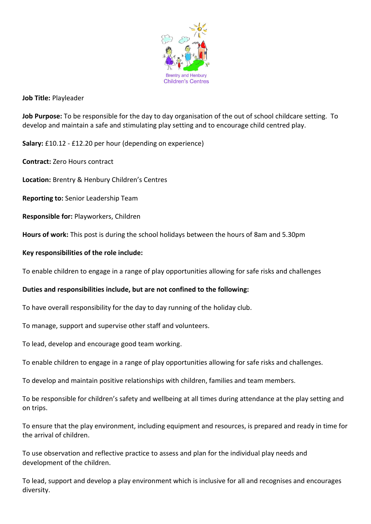

## **Job Title:** Playleader

**Job Purpose:** To be responsible for the day to day organisation of the out of school childcare setting. To develop and maintain a safe and stimulating play setting and to encourage child centred play.

**Salary:** £10.12 - £12.20 per hour (depending on experience)

**Contract:** Zero Hours contract

**Location:** Brentry & Henbury Children's Centres

**Reporting to:** Senior Leadership Team

**Responsible for:** Playworkers, Children

**Hours of work:** This post is during the school holidays between the hours of 8am and 5.30pm

### **Key responsibilities of the role include:**

To enable children to engage in a range of play opportunities allowing for safe risks and challenges

# **Duties and responsibilities include, but are not confined to the following:**

To have overall responsibility for the day to day running of the holiday club.

To manage, support and supervise other staff and volunteers.

To lead, develop and encourage good team working.

To enable children to engage in a range of play opportunities allowing for safe risks and challenges.

To develop and maintain positive relationships with children, families and team members.

To be responsible for children's safety and wellbeing at all times during attendance at the play setting and on trips.

To ensure that the play environment, including equipment and resources, is prepared and ready in time for the arrival of children.

To use observation and reflective practice to assess and plan for the individual play needs and development of the children.

To lead, support and develop a play environment which is inclusive for all and recognises and encourages diversity.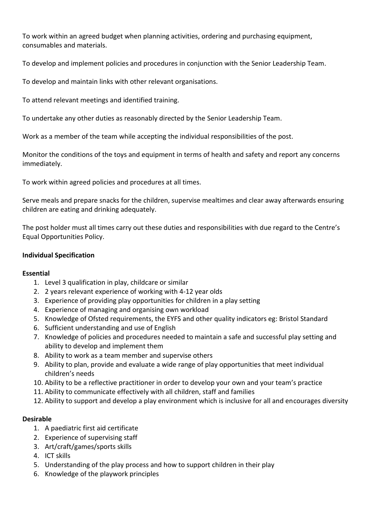To work within an agreed budget when planning activities, ordering and purchasing equipment, consumables and materials.

To develop and implement policies and procedures in conjunction with the Senior Leadership Team.

To develop and maintain links with other relevant organisations.

To attend relevant meetings and identified training.

To undertake any other duties as reasonably directed by the Senior Leadership Team.

Work as a member of the team while accepting the individual responsibilities of the post.

Monitor the conditions of the toys and equipment in terms of health and safety and report any concerns immediately.

To work within agreed policies and procedures at all times.

Serve meals and prepare snacks for the children, supervise mealtimes and clear away afterwards ensuring children are eating and drinking adequately.

The post holder must all times carry out these duties and responsibilities with due regard to the Centre's Equal Opportunities Policy.

### **Individual Specification**

#### **Essential**

- 1. Level 3 qualification in play, childcare or similar
- 2. 2 years relevant experience of working with 4-12 year olds
- 3. Experience of providing play opportunities for children in a play setting
- 4. Experience of managing and organising own workload
- 5. Knowledge of Ofsted requirements, the EYFS and other quality indicators eg: Bristol Standard
- 6. Sufficient understanding and use of English
- 7. Knowledge of policies and procedures needed to maintain a safe and successful play setting and ability to develop and implement them
- 8. Ability to work as a team member and supervise others
- 9. Ability to plan, provide and evaluate a wide range of play opportunities that meet individual children's needs
- 10. Ability to be a reflective practitioner in order to develop your own and your team's practice
- 11. Ability to communicate effectively with all children, staff and families
- 12. Ability to support and develop a play environment which is inclusive for all and encourages diversity

#### **Desirable**

- 1. A paediatric first aid certificate
- 2. Experience of supervising staff
- 3. Art/craft/games/sports skills
- 4. ICT skills
- 5. Understanding of the play process and how to support children in their play
- 6. Knowledge of the playwork principles